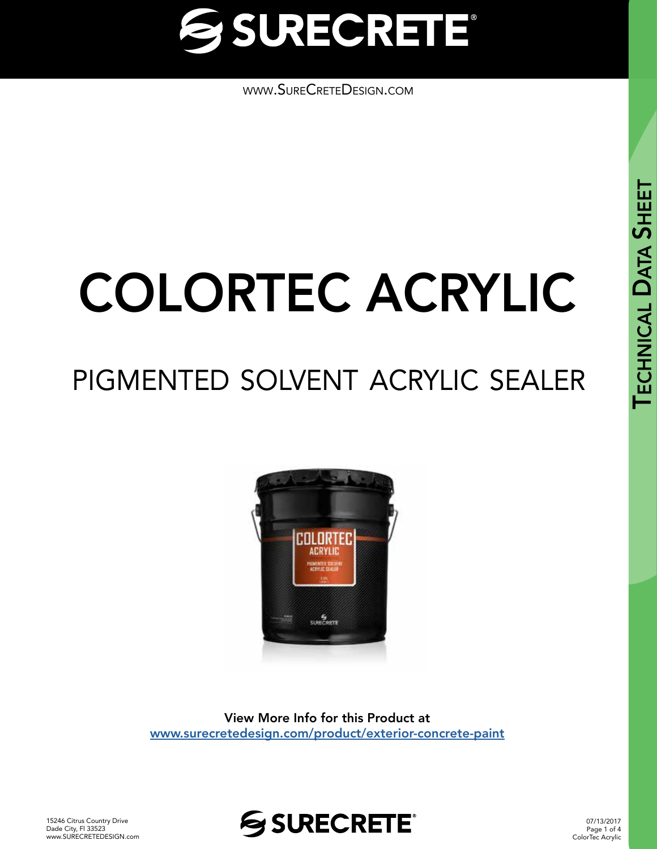

[www.SureCreteDesign.com](http://www.surecretedesign.com)

# COLORTEC ACRYLIC

## pigmented solvent acrylic sealer



View More Info for this Product at [www.surecretedesign.com/product/exterior-concrete-paint](https://www.surecretedesign.com/product/exterior-concrete-paint/)



07/13/2017 Page 1 of 4 ColorTec Acrylic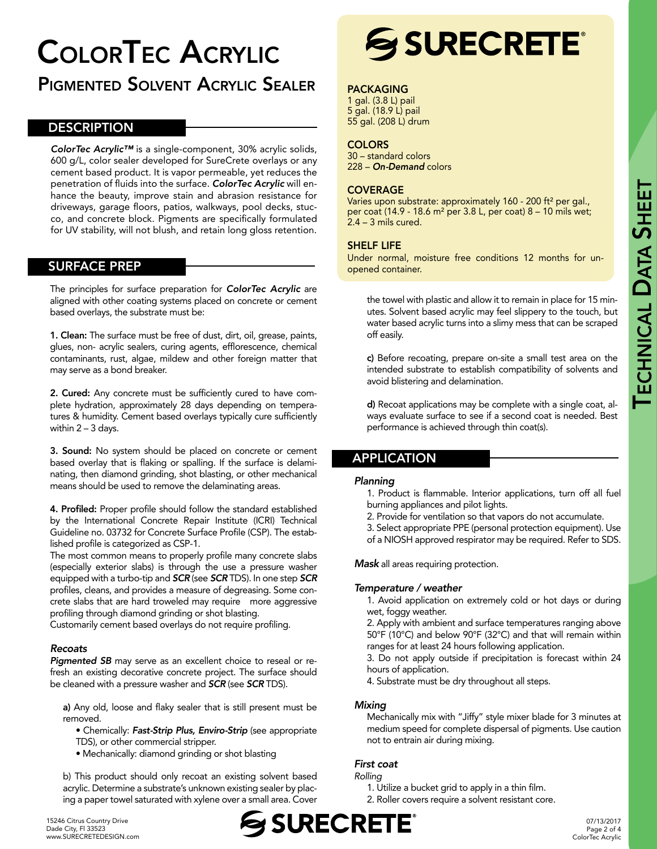## ColorTec Acrylic

### Pigmented Solvent Acrylic Sealer

#### **DESCRIPTION**

*ColorTec Acrylic™* is a single-component, 30% acrylic solids, 600 g/L, color sealer developed for SureCrete overlays or any cement based product. It is vapor permeable, yet reduces the penetration of fluids into the surface. *ColorTec Acrylic* will enhance the beauty, improve stain and abrasion resistance for driveways, garage floors, patios, walkways, pool decks, stucco, and concrete block. Pigments are specifically formulated for UV stability, will not blush, and retain long gloss retention.

#### SURFACE PREP

The principles for surface preparation for *ColorTec Acrylic* are aligned with other coating systems placed on concrete or cement based overlays, the substrate must be:

1. Clean: The surface must be free of dust, dirt, oil, grease, paints, glues, non- acrylic sealers, curing agents, efflorescence, chemical contaminants, rust, algae, mildew and other foreign matter that may serve as a bond breaker.

2. Cured: Any concrete must be sufficiently cured to have complete hydration, approximately 28 days depending on temperatures & humidity. Cement based overlays typically cure sufficiently within 2 – 3 days.

3. Sound: No system should be placed on concrete or cement based overlay that is flaking or spalling. If the surface is delaminating, then diamond grinding, shot blasting, or other mechanical means should be used to remove the delaminating areas.

4. Profiled: Proper profile should follow the standard established by the International Concrete Repair Institute (ICRI) Technical Guideline no. 03732 for Concrete Surface Profile (CSP). The established profile is categorized as CSP-1.

The most common means to properly profile many concrete slabs (especially exterior slabs) is through the use a pressure washer equipped with a turbo-tip and *SCR* (see *SCR* TDS). In one step *SCR* profiles, cleans, and provides a measure of degreasing. Some concrete slabs that are hard troweled may require more aggressive profiling through diamond grinding or shot blasting.

Customarily cement based overlays do not require profiling.

#### *Recoats*

*Pigmented SB* may serve as an excellent choice to reseal or refresh an existing decorative concrete project. The surface should be cleaned with a pressure washer and *SCR* (see *SCR* TDS).

a) Any old, loose and flaky sealer that is still present must be removed.

- Chemically: *Fast-Strip Plus, Enviro-Strip* (see appropriate TDS), or other commercial stripper.
- Mechanically: diamond grinding or shot blasting

b) This product should only recoat an existing solvent based acrylic. Determine a substrate's unknown existing sealer by placing a paper towel saturated with xylene over a small area. Cover



#### PACKAGING

1 gal. (3.8 L) pail 5 gal. (18.9 L) pail 55 gal. (208 L) drum

#### **COLORS**

30 – standard colors 228 – *On-Demand* colors

#### COVERAGE

Varies upon substrate: approximately 160 - 200 ft<sup>2</sup> per gal., per coat (14.9 - 18.6 m² per 3.8 L, per coat) 8 – 10 mils wet; 2.4 – 3 mils cured.

#### SHELF LIFE

Under normal, moisture free conditions 12 months for unopened container.

the towel with plastic and allow it to remain in place for 15 minutes. Solvent based acrylic may feel slippery to the touch, but water based acrylic turns into a slimy mess that can be scraped off easily.

c) Before recoating, prepare on-site a small test area on the intended substrate to establish compatibility of solvents and avoid blistering and delamination.

d) Recoat applications may be complete with a single coat, always evaluate surface to see if a second coat is needed. Best performance is achieved through thin coat(s).

#### APPLICATION

#### *Planning*

1. Product is flammable. Interior applications, turn off all fuel burning appliances and pilot lights.

2. Provide for ventilation so that vapors do not accumulate.

3. Select appropriate PPE (personal protection equipment). Use of a NIOSH approved respirator may be required. Refer to SDS.

*Mask* all areas requiring protection.

#### *Temperature / weather*

1. Avoid application on extremely cold or hot days or during wet, foggy weather.

2. Apply with ambient and surface temperatures ranging above 50°F (10°C) and below 90°F (32°C) and that will remain within ranges for at least 24 hours following application.

3. Do not apply outside if precipitation is forecast within 24 hours of application.

4. Substrate must be dry throughout all steps.

#### *Mixing*

Mechanically mix with "Jiffy" style mixer blade for 3 minutes at medium speed for complete dispersal of pigments. Use caution not to entrain air during mixing.

#### *First coat*

*Rolling* 

- 1. Utilize a bucket grid to apply in a thin film.
- 2. Roller covers require a solvent resistant core.

15246 Citrus Country Drive Dade City, Fl 33523 [www.SURECRETEDESIGN.com](http://www.surecretedesign.com)

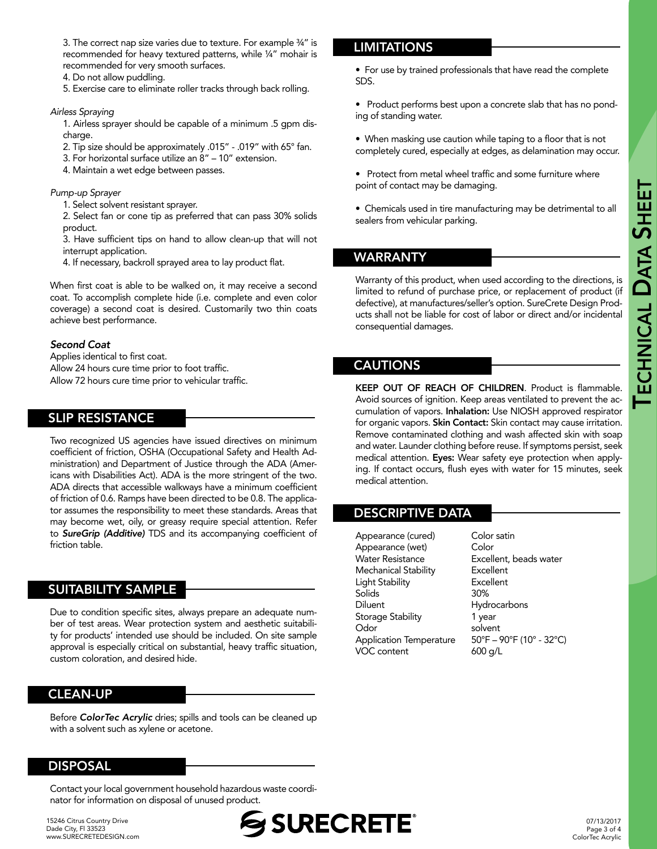3. The correct nap size varies due to texture. For example ¾" is recommended for heavy textured patterns, while ¼" mohair is recommended for very smooth surfaces.

4. Do not allow puddling.

5. Exercise care to eliminate roller tracks through back rolling.

#### *Airless Spraying*

1. Airless sprayer should be capable of a minimum .5 gpm discharge.

- 2. Tip size should be approximately .015" .019" with 65° fan.
- 3. For horizontal surface utilize an 8" 10" extension.
- 4. Maintain a wet edge between passes.

*Pump-up Sprayer*

- 1. Select solvent resistant sprayer.
- 2. Select fan or cone tip as preferred that can pass 30% solids product.
- 3. Have sufficient tips on hand to allow clean-up that will not interrupt application.
- 4. If necessary, backroll sprayed area to lay product flat.

When first coat is able to be walked on, it may receive a second coat. To accomplish complete hide (i.e. complete and even color coverage) a second coat is desired. Customarily two thin coats achieve best performance.

#### *Second Coat*

Applies identical to first coat. Allow 24 hours cure time prior to foot traffic. Allow 72 hours cure time prior to vehicular traffic.

#### SLIP RESISTANCE

Two recognized US agencies have issued directives on minimum coefficient of friction, OSHA (Occupational Safety and Health Administration) and Department of Justice through the ADA (Americans with Disabilities Act). ADA is the more stringent of the two. ADA directs that accessible walkways have a minimum coefficient of friction of 0.6. Ramps have been directed to be 0.8. The applicator assumes the responsibility to meet these standards. Areas that may become wet, oily, or greasy require special attention. Refer to *SureGrip (Additive)* TDS and its accompanying coefficient of friction table.

#### SUITABILITY SAMPLE

Due to condition specific sites, always prepare an adequate number of test areas. Wear protection system and aesthetic suitability for products' intended use should be included. On site sample approval is especially critical on substantial, heavy traffic situation, custom coloration, and desired hide.

#### CLEAN-UP

Before *ColorTec Acrylic* dries; spills and tools can be cleaned up with a solvent such as xylene or acetone.

#### DISPOSAL

Contact your local government household hazardous waste coordinator for information on disposal of unused product.

15246 Citrus Country Drive Dade City, Fl 33523 [www.SURECRETEDESIGN.com](http://www.surecretedesign.com)

#### **LIMITATIONS**

• For use by trained professionals that have read the complete SDS.

• Product performs best upon a concrete slab that has no ponding of standing water.

• When masking use caution while taping to a floor that is not completely cured, especially at edges, as delamination may occur.

- Protect from metal wheel traffic and some furniture where point of contact may be damaging.
- Chemicals used in tire manufacturing may be detrimental to all sealers from vehicular parking.

#### WARRANTY

Warranty of this product, when used according to the directions, is limited to refund of purchase price, or replacement of product (if defective), at manufactures/seller's option. SureCrete Design Products shall not be liable for cost of labor or direct and/or incidental consequential damages.

#### CAUTIONS

KEEP OUT OF REACH OF CHILDREN. Product is flammable. Avoid sources of ignition. Keep areas ventilated to prevent the accumulation of vapors. Inhalation: Use NIOSH approved respirator for organic vapors. Skin Contact: Skin contact may cause irritation. Remove contaminated clothing and wash affected skin with soap and water. Launder clothing before reuse. If symptoms persist, seek medical attention. Eyes: Wear safety eye protection when applying. If contact occurs, flush eyes with water for 15 minutes, seek medical attention.

#### DESCRIPTIVE DATA

Appearance (cured) Color satin Appearance (wet) Color Water Resistance **Excellent**, beads water Mechanical Stability Excellent Light Stability Excellent Solids 30% Diluent Hydrocarbons Storage Stability 1 year Odor solvent Application Temperature 50°F – 90°F (10° - 32°C) VOC content 600 g/L